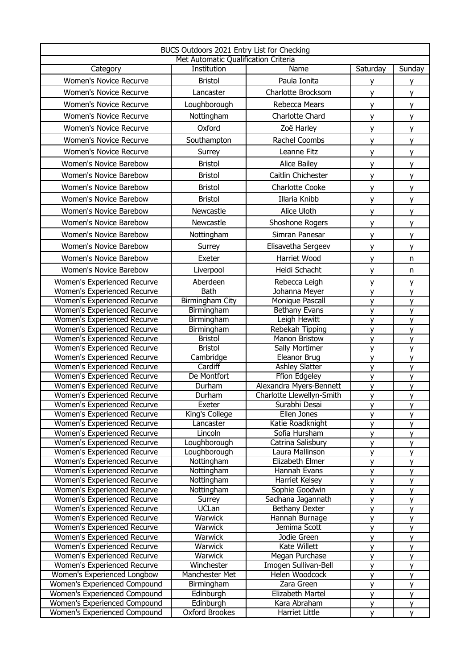| BUCS Outdoors 2021 Entry List for Checking<br>Met Automatic Qualification Criteria |                                  |                                               |                |                |
|------------------------------------------------------------------------------------|----------------------------------|-----------------------------------------------|----------------|----------------|
| Category                                                                           | Institution                      | Name                                          | Saturday       | Sunday         |
| Women's Novice Recurve                                                             | <b>Bristol</b>                   | Paula Ionita                                  |                |                |
| <b>Women's Novice Recurve</b>                                                      | Lancaster                        | Charlotte Brocksom                            | y<br>y         | y.<br><b>y</b> |
| <b>Women's Novice Recurve</b>                                                      | Loughborough                     | Rebecca Mears                                 |                |                |
|                                                                                    |                                  |                                               | y              | y.             |
| <b>Women's Novice Recurve</b>                                                      | Nottingham                       | Charlotte Chard                               | y              | <b>y</b>       |
| Women's Novice Recurve                                                             | Oxford                           | Zoë Harley                                    | y              | y.             |
| <b>Women's Novice Recurve</b>                                                      | Southampton                      | Rachel Coombs                                 | y              | <b>y</b>       |
| Women's Novice Recurve                                                             | Surrey                           | Leanne Fitz                                   | y              | y.             |
| Women's Novice Barebow                                                             | <b>Bristol</b>                   | <b>Alice Bailey</b>                           | y              | y              |
| Women's Novice Barebow                                                             | <b>Bristol</b>                   | Caitlin Chichester                            | y              | y              |
| Women's Novice Barebow                                                             | <b>Bristol</b>                   | <b>Charlotte Cooke</b>                        | y              | y              |
| Women's Novice Barebow                                                             | <b>Bristol</b>                   | Illaria Knibb                                 | y              | y              |
| Women's Novice Barebow                                                             | Newcastle                        | Alice Uloth                                   | y              | y              |
| Women's Novice Barebow                                                             | Newcastle                        | Shoshone Rogers                               | y              | y              |
| Women's Novice Barebow                                                             | Nottingham                       | Simran Panesar                                | y              | y              |
| Women's Novice Barebow                                                             |                                  | Elisavetha Sergeev                            |                |                |
|                                                                                    | Surrey                           |                                               | y              | y              |
| Women's Novice Barebow                                                             | Exeter                           | Harriet Wood                                  | y              | n              |
| Women's Novice Barebow                                                             | Liverpool                        | Heidi Schacht                                 | y              | n.             |
| Women's Experienced Recurve                                                        | Aberdeen                         | Rebecca Leigh                                 | y              | y              |
| Women's Experienced Recurve                                                        | <b>Bath</b>                      | Johanna Meyer                                 | y              | y              |
| Women's Experienced Recurve                                                        | Birmingham City                  | Monique Pascall                               | y              | y              |
| Women's Experienced Recurve                                                        | Birmingham                       | Bethany Evans                                 | y              | y              |
| Women's Experienced Recurve                                                        | Birmingham                       | Leigh Hewitt                                  | y              | y              |
| Women's Experienced Recurve                                                        | Birmingham                       | Rebekah Tipping<br><b>Manon Bristow</b>       | y              | y              |
| Women's Experienced Recurve                                                        | <b>Bristol</b><br><b>Bristol</b> | <b>Sally Mortimer</b>                         | y              | y              |
| Women's Experienced Recurve<br>Women's Experienced Recurve                         |                                  | Eleanor Brug                                  | y              | y              |
| Women's Experienced Recurve                                                        | Cambridge<br>Cardiff             | <b>Ashley Slatter</b>                         | y<br>y         | y<br>y         |
| Women's Experienced Recurve                                                        | De Montfort                      | <b>Ffion Edgeley</b>                          | $\overline{y}$ | $\overline{y}$ |
| Women's Experienced Recurve                                                        | Durham                           | Alexandra Myers-Bennett                       | y              | y              |
| Women's Experienced Recurve                                                        | Durham                           | Charlotte Llewellyn-Smith                     | y              | y              |
| Women's Experienced Recurve                                                        | Exeter                           | Surabhi Desai                                 | y              | y              |
| Women's Experienced Recurve                                                        | King's College                   | Ellen Jones                                   | y              | y              |
| Women's Experienced Recurve                                                        | Lancaster                        | Katie Roadknight                              | y              | y              |
| Women's Experienced Recurve                                                        | Lincoln                          | Sofia Hursham                                 | y              | y              |
| <b>Women's Experienced Recurve</b>                                                 | Loughborough                     | Catrina Salisbury                             | y              | y              |
| Women's Experienced Recurve                                                        | Loughborough                     | Laura Mallinson                               | y              | y              |
| Women's Experienced Recurve                                                        | Nottingham                       | Elizabeth Elmer                               | $\overline{y}$ | y              |
| Women's Experienced Recurve                                                        | Nottingham                       | Hannah Evans                                  | y              | y              |
| Women's Experienced Recurve                                                        | Nottingham                       | Harriet Kelsey                                | y              | y              |
| Women's Experienced Recurve                                                        | Nottingham                       | Sophie Goodwin                                | y              | y              |
| Women's Experienced Recurve                                                        | Surrey                           | Sadhana Jagannath                             | $\overline{y}$ | y              |
| Women's Experienced Recurve                                                        | <b>UCLan</b>                     | Bethany Dexter                                | y              | y              |
| Women's Experienced Recurve                                                        | Warwick                          | Hannah Burnage                                | y              | y              |
| Women's Experienced Recurve                                                        | Warwick                          | Jemima Scott                                  | y              | y              |
| Women's Experienced Recurve                                                        | <b>Warwick</b>                   | Jodie Green                                   | y              | y              |
| Women's Experienced Recurve                                                        | <b>Warwick</b>                   | Kate Willett                                  | y              | y              |
| Women's Experienced Recurve                                                        | Warwick                          | Megan Purchase                                | y              | y              |
| Women's Experienced Recurve                                                        | Winchester                       | Imogen Sullivan-Bell<br><b>Helen Woodcock</b> | y              | y              |
| Women's Experienced Longbow<br>Women's Experienced Compound                        | Manchester Met<br>Birmingham     | Zara Green                                    | y              | y              |
| <b>Women's Experienced Compound</b>                                                | Edinburgh                        | Elizabeth Martel                              | y<br>y         | y<br>y         |
| Women's Experienced Compound                                                       | Edinburgh                        | Kara Abraham                                  | y              | y              |
| Women's Experienced Compound                                                       | <b>Oxford Brookes</b>            | Harriet Little                                | y              | y.             |
|                                                                                    |                                  |                                               |                |                |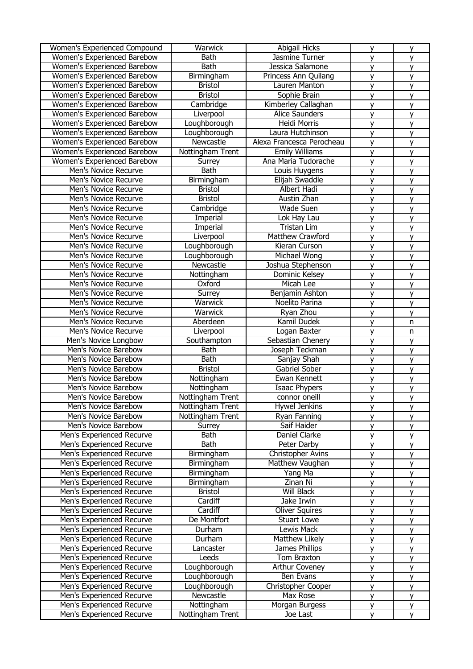| <b>Women's Experienced Compound</b> | Warwick          | <b>Abigail Hicks</b>      | y              | y              |
|-------------------------------------|------------------|---------------------------|----------------|----------------|
| Women's Experienced Barebow         | <b>Bath</b>      | Jasmine Turner            | y              | y              |
| Women's Experienced Barebow         | <b>Bath</b>      | Jessica Salamone          | y              | y              |
| Women's Experienced Barebow         | Birmingham       | Princess Ann Quilang      | y              | y              |
| Women's Experienced Barebow         | <b>Bristol</b>   | Lauren Manton             | y              | y              |
| Women's Experienced Barebow         | <b>Bristol</b>   | Sophie Brain              | y              | y              |
| Women's Experienced Barebow         | Cambridge        | Kimberley Callaghan       | y              | y              |
| Women's Experienced Barebow         | Liverpool        | <b>Alice Saunders</b>     | y              | y              |
| Women's Experienced Barebow         | Loughborough     | Heidi Morris              |                |                |
|                                     |                  |                           | y              | y              |
| Women's Experienced Barebow         | Loughborough     | Laura Hutchinson          | y              | y              |
| Women's Experienced Barebow         | Newcastle        | Alexa Francesca Perocheau | y              | y              |
| Women's Experienced Barebow         | Nottingham Trent | <b>Emily Williams</b>     | y              | y              |
| Women's Experienced Barebow         | <b>Surrey</b>    | Ana Maria Tudorache       | y              | y              |
| Men's Novice Recurve                | <b>Bath</b>      | Louis Huygens             | y              | $\overline{y}$ |
| Men's Novice Recurve                | Birmingham       | Elijah Swaddle            | $\overline{y}$ | $\overline{y}$ |
| Men's Novice Recurve                | <b>Bristol</b>   | Albert Hadi               | y              | y              |
| Men's Novice Recurve                | <b>Bristol</b>   | Austin Zhan               | y              | y              |
| Men's Novice Recurve                | Cambridge        | <b>Wade Suen</b>          | y              | $\overline{y}$ |
| Men's Novice Recurve                | Imperial         | Lok Hay Lau               | y              | y              |
| Men's Novice Recurve                | Imperial         | Tristan Lim               | y              | y              |
| Men's Novice Recurve                | Liverpool        | Matthew Crawford          | y              | y              |
| Men's Novice Recurve                | Loughborough     | Kieran Curson             | y              | $\mathsf{v}$   |
| Men's Novice Recurve                | Loughborough     | Michael Wong              | y              | y              |
| Men's Novice Recurve                | Newcastle        | Joshua Stephenson         | y              | $\overline{y}$ |
| Men's Novice Recurve                | Nottingham       | Dominic Kelsey            | $\mathsf{y}$   | y              |
| Men's Novice Recurve                | Oxford           | Micah Lee                 | y              | y              |
| Men's Novice Recurve                | Surrey           | Benjamin Ashton           | y              | y              |
| Men's Novice Recurve                | Warwick          | Noelito Parina            | $\overline{y}$ | y              |
| Men's Novice Recurve                | Warwick          | Ryan Zhou                 | y              | y              |
| Men's Novice Recurve                | Aberdeen         | Kamil Dudek               | y              | n              |
|                                     |                  |                           |                |                |
| Men's Novice Recurve                | Liverpool        | Logan Baxter              | $\mathsf{y}$   | n              |
| Men's Novice Longbow                | Southampton      | Sebastian Chenery         | $\mathsf{y}$   | y              |
| Men's Novice Barebow                | <b>Bath</b>      | Joseph Teckman            | $\mathsf{y}$   | y              |
| Men's Novice Barebow                | <b>Bath</b>      | Sanjay Shah               | y              | y              |
| Men's Novice Barebow                | <b>Bristol</b>   | Gabriel Sober             | y              | y              |
| Men's Novice Barebow                | Nottingham       | Ewan Kennett              | y              | y              |
| Men's Novice Barebow                | Nottingham       | <b>Isaac Phypers</b>      | y              | y              |
| Men's Novice Barebow                | Nottingham Trent | connor oneill             | $\mathsf{v}$   | V              |
| Men's Novice Barebow                | Nottingham Trent | Hywel Jenkins             | y              | y              |
| Men's Novice Barebow                | Nottingham Trent | Ryan Fanning              | y              | y              |
| Men's Novice Barebow                | Surrey           | Saif Haider               | y              | y              |
| Men's Experienced Recurve           | <b>Bath</b>      | Daniel Clarke             | y              | y              |
| Men's Experienced Recurve           | <b>Bath</b>      | Peter Darby               | y              | у              |
| Men's Experienced Recurve           | Birmingham       | <b>Christopher Avins</b>  | y              | y              |
| Men's Experienced Recurve           | Birmingham       | Matthew Vaughan           | y              | y              |
| Men's Experienced Recurve           | Birmingham       | Yang Ma                   | y              | y              |
| Men's Experienced Recurve           | Birmingham       | Zinan Ni                  | y              | y              |
| Men's Experienced Recurve           | <b>Bristol</b>   | <b>Will Black</b>         | y              | y              |
| Men's Experienced Recurve           | Cardiff          | Jake Irwin                | y              | y              |
| Men's Experienced Recurve           | Cardiff          | <b>Oliver Squires</b>     | y              | y              |
| Men's Experienced Recurve           | De Montfort      | <b>Stuart Lowe</b>        | y              | y              |
| Men's Experienced Recurve           | Durham           | Lewis Mack                | y              | y              |
| Men's Experienced Recurve           | Durham           | Matthew Likely            | y              | y              |
| Men's Experienced Recurve           | Lancaster        | James Phillips            | y              | y              |
| Men's Experienced Recurve           | Leeds            | Tom Braxton               |                |                |
| Men's Experienced Recurve           |                  | <b>Arthur Coveney</b>     | y              | y              |
|                                     | Loughborough     |                           | y              | y              |
| Men's Experienced Recurve           | Loughborough     | Ben Evans                 | y              | y              |
| Men's Experienced Recurve           | Loughborough     | Christopher Cooper        | y              | y              |
| Men's Experienced Recurve           | Newcastle        | Max Rose                  | y              | y              |
| Men's Experienced Recurve           | Nottingham       | Morgan Burgess            | y              | y              |
| Men's Experienced Recurve           | Nottingham Trent | Joe Last                  | у              | y              |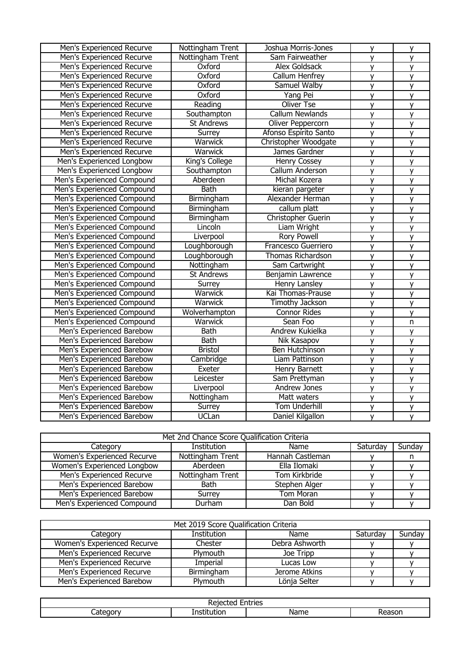| Men's Experienced Recurve  | Nottingham Trent  | Joshua Morris-Jones      | y              | y                       |
|----------------------------|-------------------|--------------------------|----------------|-------------------------|
| Men's Experienced Recurve  | Nottingham Trent  | Sam Fairweather          | y              | y                       |
| Men's Experienced Recurve  | Oxford            | <b>Alex Goldsack</b>     | y              | y                       |
| Men's Experienced Recurve  | Oxford            | <b>Callum Henfrey</b>    | $\overline{y}$ | $\overline{y}$          |
| Men's Experienced Recurve  | Oxford            | Samuel Walby             | $\overline{y}$ | $\overline{y}$          |
| Men's Experienced Recurve  | Oxford            | Yang Pei                 | y              | y                       |
| Men's Experienced Recurve  | Reading           | <b>Oliver Tse</b>        | y              | y                       |
| Men's Experienced Recurve  | Southampton       | <b>Callum Newlands</b>   | y              | $\overline{y}$          |
| Men's Experienced Recurve  | <b>St Andrews</b> | Oliver Peppercorn        | y              | y                       |
| Men's Experienced Recurve  | Surrey            | Afonso Espírito Santo    | y              | $\overline{y}$          |
| Men's Experienced Recurve  | Warwick           | Christopher Woodgate     | $\overline{y}$ | $\overline{y}$          |
| Men's Experienced Recurve  | Warwick           | James Gardner            | $\overline{y}$ | $\overline{y}$          |
| Men's Experienced Longbow  | King's College    | Henry Cossey             | y              | y                       |
| Men's Experienced Longbow  | Southampton       | Callum Anderson          | y              | y                       |
| Men's Experienced Compound | Aberdeen          | Michal Kozera            | y              | $\overline{y}$          |
| Men's Experienced Compound | <b>Bath</b>       | kieran pargeter          | $\overline{y}$ | $\overline{y}$          |
| Men's Experienced Compound | Birmingham        | Alexander Herman         | y              | $\overline{y}$          |
| Men's Experienced Compound | Birmingham        | callum platt             | $\overline{y}$ | $\overline{y}$          |
| Men's Experienced Compound | Birmingham        | Christopher Guerin       | y              | y                       |
| Men's Experienced Compound | Lincoln           | Liam Wright              | y              | y                       |
| Men's Experienced Compound | Liverpool         | <b>Rory Powell</b>       | y              | y                       |
| Men's Experienced Compound | Loughborough      | Francesco Guerriero      | y              | y                       |
| Men's Experienced Compound | Loughborough      | <b>Thomas Richardson</b> | y              | y                       |
| Men's Experienced Compound | Nottingham        | Sam Cartwright           | y              | $\overline{y}$          |
| Men's Experienced Compound | <b>St Andrews</b> | Benjamin Lawrence        | $\mathsf{y}$   | $\overline{y}$          |
| Men's Experienced Compound | Surrey            | <b>Henry Lansley</b>     | y              | y                       |
| Men's Experienced Compound | <b>Warwick</b>    | Kai Thomas-Prause        | y              | y                       |
| Men's Experienced Compound | Warwick           | Timothy Jackson          | y              | y                       |
| Men's Experienced Compound | Wolverhampton     | <b>Connor Rides</b>      | y              | y                       |
| Men's Experienced Compound | Warwick           | Sean Foo                 | $\overline{y}$ | $\overline{\mathsf{n}}$ |
| Men's Experienced Barebow  | <b>Bath</b>       | Andrew Kukielka          | y              | y                       |
| Men's Experienced Barebow  | <b>Bath</b>       | Nik Kasapov              | $\mathsf{v}$   | y                       |
| Men's Experienced Barebow  | <b>Bristol</b>    | <b>Ben Hutchinson</b>    | y              | y                       |
| Men's Experienced Barebow  | Cambridge         | Liam Pattinson           | y              | y                       |
| Men's Experienced Barebow  | Exeter            | <b>Henry Barnett</b>     | y              | y                       |
| Men's Experienced Barebow  | Leicester         | Sam Prettyman            | y              | y                       |
| Men's Experienced Barebow  | Liverpool         | <b>Andrew Jones</b>      | $\overline{y}$ | $\overline{\mathsf{v}}$ |
| Men's Experienced Barebow  | Nottingham        | Matt waters              | y              | y                       |
| Men's Experienced Barebow  | Surrey            | <b>Tom Underhill</b>     | y              | y                       |
| Men's Experienced Barebow  | <b>UCLan</b>      | Daniel Kilgallon         | y              | y                       |

| Met 2nd Chance Score Qualification Criteria |                    |                  |          |        |
|---------------------------------------------|--------------------|------------------|----------|--------|
| Category                                    | <b>Institution</b> | Name             | Saturday | Sunday |
| Women's Experienced Recurve                 | Nottingham Trent   | Hannah Castleman |          |        |
| Women's Experienced Longbow                 | Aberdeen           | Ella Ilomaki     |          |        |
| Men's Experienced Recurve                   | Nottingham Trent   | Tom Kirkbride    |          |        |
| Men's Experienced Barebow                   | Bath               | Stephen Alger    |          |        |
| Men's Experienced Barebow                   | Surrey             | Tom Moran        |          |        |
| Men's Experienced Compound                  | Durham             | Dan Bold         |          |        |

| Met 2019 Score Qualification Criteria |             |                |          |        |
|---------------------------------------|-------------|----------------|----------|--------|
| Category                              | Institution | Name           | Saturday | Sunday |
| Women's Experienced Recurve           | Chester     | Debra Ashworth |          |        |
| Men's Experienced Recurve             | Plymouth    | Joe Tripp      |          |        |
| Men's Experienced Recurve             | Imperial    | Lucas Low      |          |        |
| Men's Experienced Recurve             | Birmingham  | Jerome Atkins  |          |        |
| Men's Experienced Barebow             | Plymouth    | Lönja Selter   |          |        |

| <br>IE:<br>.<br>-          |      |   |  |
|----------------------------|------|---|--|
| .<br>ot.<br>10 M<br>$\sim$ | -- - | . |  |